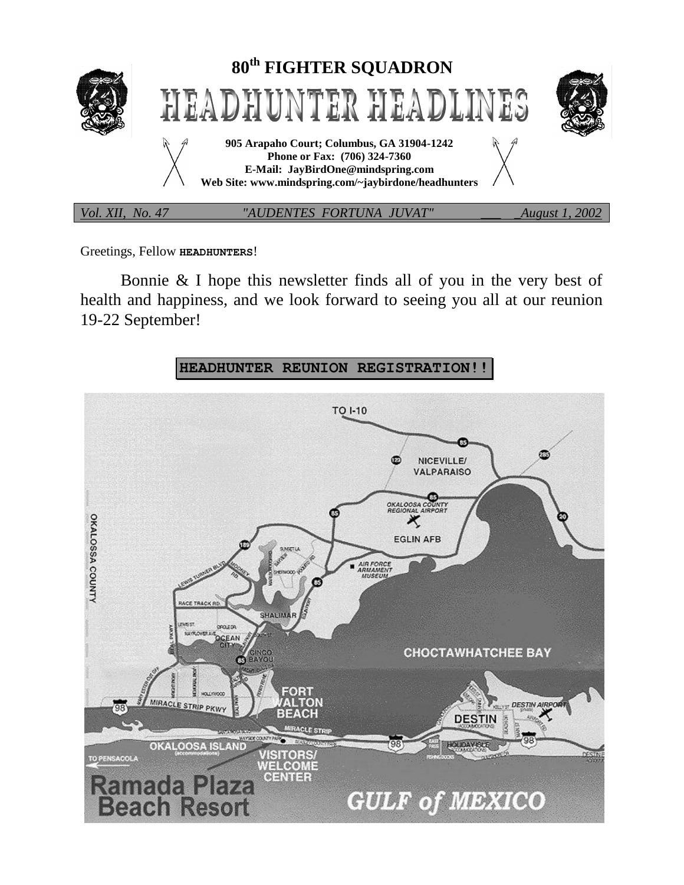

Greetings, Fellow **HEADHUNTERS**!

Bonnie & I hope this newsletter finds all of you in the very best of health and happiness, and we look forward to seeing you all at our reunion 19-22 September!

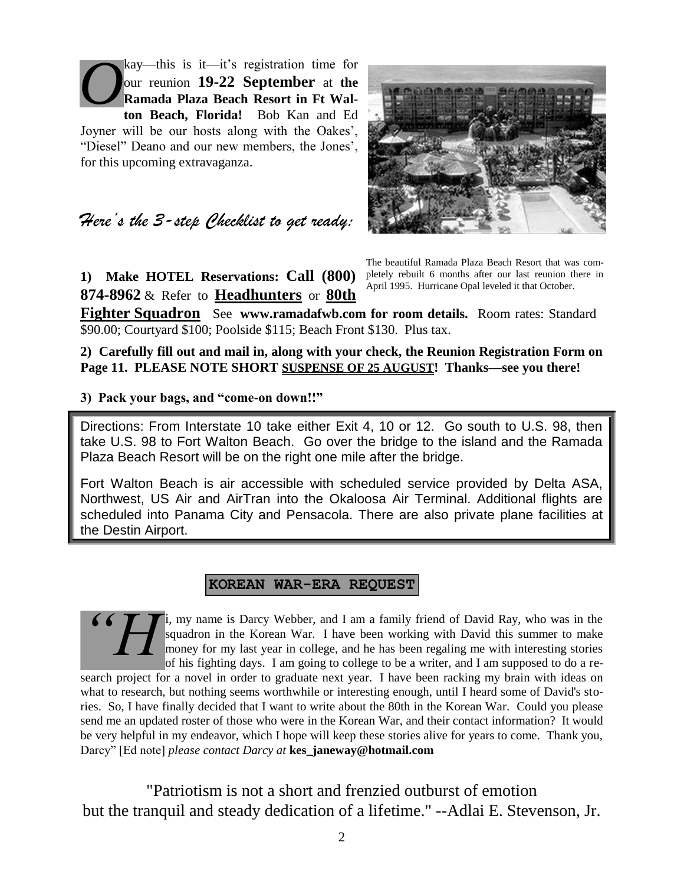kay—this is it—it's registration time for our reunion **19-22 September** at **the Ramada Plaza Beach Resort in Ft Walton Beach, Florida!** Bob Kan and Ed Joyner will be our hosts along with the Oakes', "Diesel" Deano and our new members, the Jones', for this upcoming extravaganza. *O*



*Here's the 3-step Checklist to get ready:*

**1) Make HOTEL Reservations: Call (800) 874-8962** & Refer to **Headhunters** or **80th** 

The beautiful Ramada Plaza Beach Resort that was completely rebuilt 6 months after our last reunion there in April 1995. Hurricane Opal leveled it that October.

**Fighter Squadron** See **www.ramadafwb.com for room details.** Room rates: Standard \$90.00; Courtyard \$100; Poolside \$115; Beach Front \$130. Plus tax.

**2) Carefully fill out and mail in, along with your check, the Reunion Registration Form on Page 11. PLEASE NOTE SHORT SUSPENSE OF 25 AUGUST! Thanks—see you there!**

**3) Pack your bags, and "come-on down!!"**

Directions: From Interstate 10 take either Exit 4, 10 or 12. Go south to U.S. 98, then take U.S. 98 to Fort Walton Beach. Go over the bridge to the island and the Ramada Plaza Beach Resort will be on the right one mile after the bridge.

Fort Walton Beach is air accessible with scheduled service provided by Delta ASA, Northwest, US Air and AirTran into the Okaloosa Air Terminal. Additional flights are scheduled into Panama City and Pensacola. There are also private plane facilities at the Destin Airport.

### **KOREAN WAR-ERA REQUEST**

my name is Darcy Webber, and I am a family friend of David Ray, who was in the squadron in the Korean War. I have been working with David this summer to make money for my last year in college, and he has been regaling me with interesting stories of his fighting days. I am going to college to be a writer, and I am supposed to do a re-*"H*

search project for a novel in order to graduate next year. I have been racking my brain with ideas on what to research, but nothing seems worthwhile or interesting enough, until I heard some of David's stories. So, I have finally decided that I want to write about the 80th in the Korean War. Could you please send me an updated roster of those who were in the Korean War, and their contact information? It would be very helpful in my endeavor, which I hope will keep these stories alive for years to come. Thank you, Darcy" [Ed note] *please contact Darcy at* **kes\_janeway@hotmail.com**

"Patriotism is not a short and frenzied outburst of emotion but the tranquil and steady dedication of a lifetime." --Adlai E. Stevenson, Jr.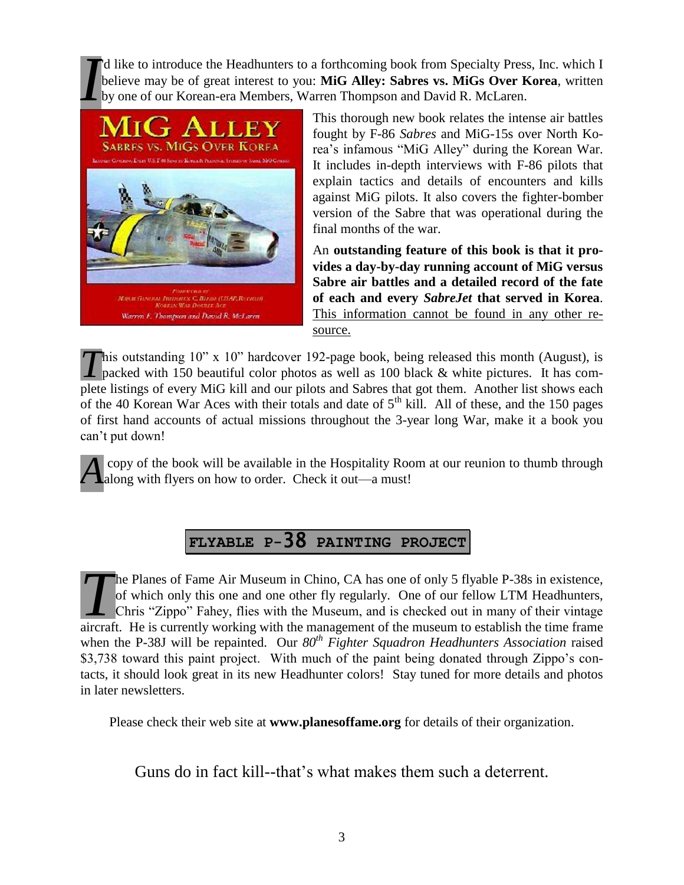'd like to introduce the Headhunters to a forthcoming book from Specialty Press, Inc. which I believe may be of great interest to you: **MiG Alley: Sabres vs. MiGs Over Korea**, written by one of our Korean-era Members, Warren Thompson and David R. McLaren. *I*



This thorough new book relates the intense air battles fought by F-86 *Sabres* and MiG-15s over North Korea's infamous "MiG Alley" during the Korean War. It includes in-depth interviews with F-86 pilots that explain tactics and details of encounters and kills against MiG pilots. It also covers the fighter-bomber version of the Sabre that was operational during the final months of the war.

An **outstanding feature of this book is that it provides a day-by-day running account of MiG versus Sabre air battles and a detailed record of the fate of each and every** *SabreJet* **that served in Korea**. This information cannot be found in any other resource.

This outstanding 10" x 10" hardcover 192-page book, being released this month (August), is packed with 150 beautiful color photos as well as 100 black & white pictures. It has compacked with 150 beautiful color photos as well as 100 black & white pictures. It has complete listings of every MiG kill and our pilots and Sabres that got them. Another list shows each of the 40 Korean War Aces with their totals and date of  $5<sup>th</sup>$  kill. All of these, and the 150 pages of first hand accounts of actual missions throughout the 3-year long War, make it a book you can't put down!

copy of the book will be available in the Hospitality Room at our reunion to thumb through A copy of the book will be available in the Hospitality Root along with flyers on how to order. Check it out—a must!

# **FLYABLE P-**38 **PAINTING PROJECT**

he Planes of Fame Air Museum in Chino, CA has one of only 5 flyable P-38s in existence, of which only this one and one other fly regularly. One of our fellow LTM Headhunters, Chris "Zippo" Fahey, flies with the Museum, and is checked out in many of their vintage The Planes of Fame Air Museum in Chino, CA has one of only 5 flyable P-38s in existence, of which only this one and one other fly regularly. One of our fellow LTM Headhunters, Chris "Zippo" Fahey, flies with the Museum, an when the P-38J will be repainted. Our *80th Fighter Squadron Headhunters Association* raised \$3,738 toward this paint project. With much of the paint being donated through Zippo's contacts, it should look great in its new Headhunter colors! Stay tuned for more details and photos in later newsletters.

Please check their web site at **www.planesoffame.org** for details of their organization.

Guns do in fact kill--that's what makes them such a deterrent.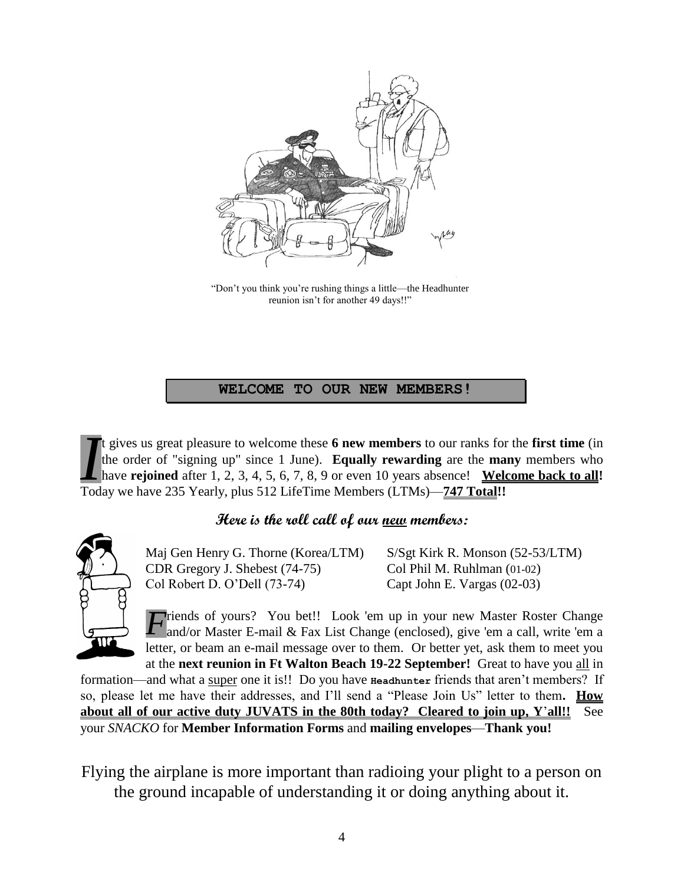

"Don't you think you're rushing things a little—the Headhunter reunion isn't for another 49 days!!"

### **WELCOME TO OUR NEW MEMBERS!**

t gives us great pleasure to welcome these **6 new members** to our ranks for the **first time** (in the order of "signing up" since 1 June). **Equally rewarding** are the **many** members who have **rejoined** after 1, 2, 3, 4, 5, 6, 7, 8, 9 or even 10 years absence! **Welcome back to all!** t gives us great pleasure to welcome these **6 new members** to our ranks for the order of "signing up" since 1 June). **Equally rewarding** are the **ma** have **rejoined** after 1, 2, 3, 4, 5, 6, 7, 8, 9 or even 10 years absence

## **Here is the roll call of our new members:**



Maj Gen Henry G. Thorne (Korea/LTM) S/Sgt Kirk R. Monson (52-53/LTM) CDR Gregory J. Shebest (74-75) Col Phil M. Ruhlman (01-02) Col Robert D. O'Dell (73-74) Capt John E. Vargas (02-03)

*F* riends of yours? You bet!! Look 'em up in your new Master Roster Change and/or Master E-mail & Fax List Change (enclosed), give 'em a call, write 'em a and/or Master E-mail & Fax List Change (enclosed), give 'em a call, write 'em a letter, or beam an e-mail message over to them. Or better yet, ask them to meet you at the **next reunion in Ft Walton Beach 19-22 September!** Great to have you all in

formation—and what a super one it is!! Do you have **Headhunter** friends that aren't members? If so, please let me have their addresses, and I'll send a "Please Join Us" letter to them**. How about all of our active duty JUVATS in the 80th today? Cleared to join up, Y**'**all!!** See your *SNACKO* for **Member Information Forms** and **mailing envelopes**—**Thank you!**

Flying the airplane is more important than radioing your plight to a person on the ground incapable of understanding it or doing anything about it.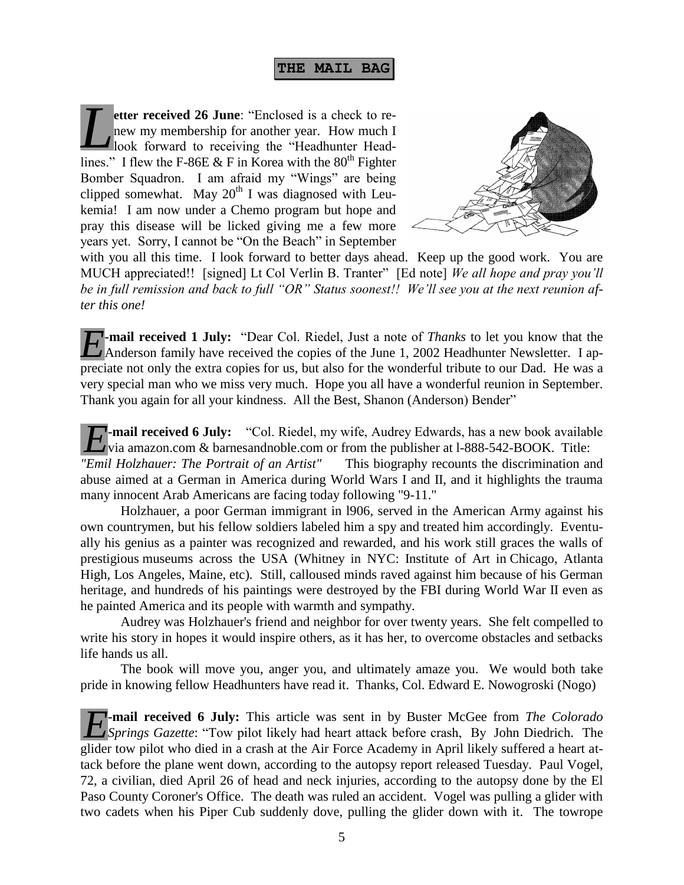**etter received 26 June**: "Enclosed is a check to renew my membership for another year. How much I look forward to receiving the "Headhunter Headlines." I flew the F-86E & F in Korea with the  $80^{th}$  Fighter Bomber Squadron. I am afraid my "Wings" are being clipped somewhat. May  $20^{th}$  I was diagnosed with Leukemia! I am now under a Chemo program but hope and pray this disease will be licked giving me a few more years yet. Sorry, I cannot be "On the Beach" in September *L*



with you all this time. I look forward to better days ahead. Keep up the good work. You are MUCH appreciated!! [signed] Lt Col Verlin B. Tranter" [Ed note] *We all hope and pray you'll be in full remission and back to full "OR" Status soonest!! We'll see you at the next reunion after this one!*

**-mail received 1 July:** "Dear Col. Riedel, Just a note of *Thanks* to let you know that the *E*-mail received 1 July: "Dear Col. Riedel, Just a note of *Thanks* to let you know that the Anderson family have received the copies of the June 1, 2002 Headhunter Newsletter. I appreciate not only the extra copies for us, but also for the wonderful tribute to our Dad. He was a very special man who we miss very much. Hope you all have a wonderful reunion in September. Thank you again for all your kindness. All the Best, Shanon (Anderson) Bender"

**-mail received 6 July:** "Col. Riedel, my wife, Audrey Edwards, has a new book available **E**-mail received 6 July: "Col. Riedel, my wife, Audrey Edwards, has a new book availation was a mazon.com & barnesandnoble.com or from the publisher at 1-888-542-BOOK. Title:

*"Emil Holzhauer: The Portrait of an Artist"* This biography recounts the discrimination and abuse aimed at a German in America during World Wars I and II, and it highlights the trauma many innocent Arab Americans are facing today following "9-11."

Holzhauer, a poor German immigrant in l906, served in the American Army against his own countrymen, but his fellow soldiers labeled him a spy and treated him accordingly. Eventually his genius as a painter was recognized and rewarded, and his work still graces the walls of prestigious museums across the USA (Whitney in NYC: Institute of Art in Chicago, Atlanta High, Los Angeles, Maine, etc). Still, calloused minds raved against him because of his German heritage, and hundreds of his paintings were destroyed by the FBI during World War II even as he painted America and its people with warmth and sympathy.

Audrey was Holzhauer's friend and neighbor for over twenty years. She felt compelled to write his story in hopes it would inspire others, as it has her, to overcome obstacles and setbacks life hands us all.

The book will move you, anger you, and ultimately amaze you. We would both take pride in knowing fellow Headhunters have read it. Thanks, Col. Edward E. Nowogroski (Nogo)

**F**-mail received 6 July: This article was sent in by Buster McGee from *The Colorado* Springs Gazette: "Tow pilot likely had heart attack before crash, By John Diedrich. The *Springs Gazette*: "Tow pilot likely had heart attack before crash, By John Diedrich. The glider tow pilot who died in a crash at the Air Force Academy in April likely suffered a heart attack before the plane went down, according to the autopsy report released Tuesday. Paul Vogel, 72, a civilian, died April 26 of head and neck injuries, according to the autopsy done by the El Paso County Coroner's Office. The death was ruled an accident. Vogel was pulling a glider with two cadets when his Piper Cub suddenly dove, pulling the glider down with it. The towrope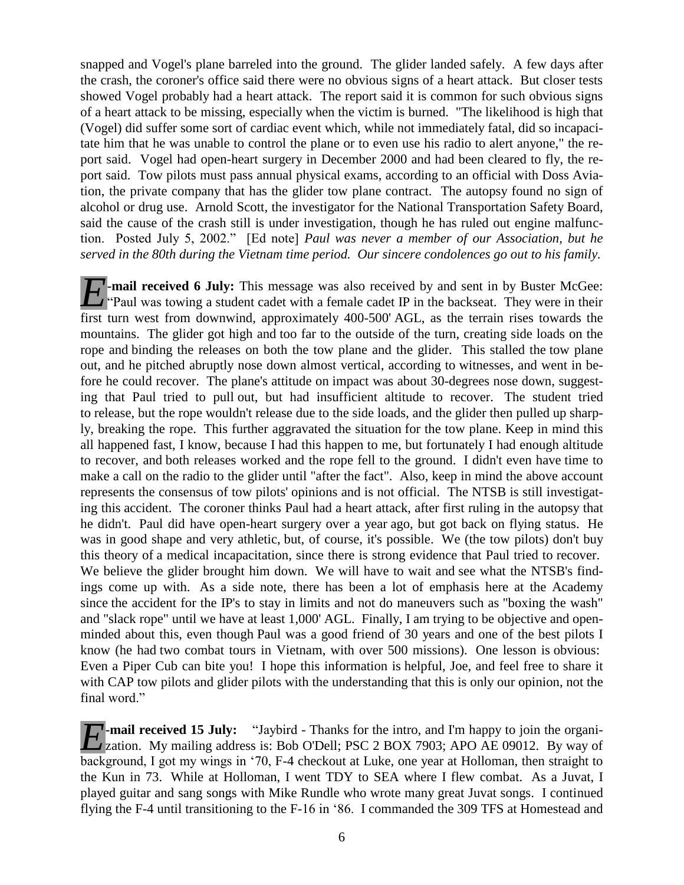snapped and Vogel's plane barreled into the ground. The glider landed safely. A few days after the crash, the coroner's office said there were no obvious signs of a heart attack. But closer tests showed Vogel probably had a heart attack. The report said it is common for such obvious signs of a heart attack to be missing, especially when the victim is burned. "The likelihood is high that (Vogel) did suffer some sort of cardiac event which, while not immediately fatal, did so incapacitate him that he was unable to control the plane or to even use his radio to alert anyone," the report said. Vogel had open-heart surgery in December 2000 and had been cleared to fly, the report said. Tow pilots must pass annual physical exams, according to an official with Doss Aviation, the private company that has the glider tow plane contract. The autopsy found no sign of alcohol or drug use. Arnold Scott, the investigator for the National Transportation Safety Board, said the cause of the crash still is under investigation, though he has ruled out engine malfunction. Posted July 5, 2002." [Ed note] *Paul was never a member of our Association, but he served in the 80th during the Vietnam time period. Our sincere condolences go out to his family.* 

*T*-mail received 6 July: This message was also received by and sent in by Buster McGee: **E** mail received 6 July: This message was also received by and sent in by Buster McGee:<br>
"Paul was towing a student cadet with a female cadet IP in the backseat. They were in their first turn west from downwind, approximately 400-500' AGL, as the terrain rises towards the mountains. The glider got high and too far to the outside of the turn, creating side loads on the rope and binding the releases on both the tow plane and the glider. This stalled the tow plane out, and he pitched abruptly nose down almost vertical, according to witnesses, and went in before he could recover. The plane's attitude on impact was about 30-degrees nose down, suggesting that Paul tried to pull out, but had insufficient altitude to recover. The student tried to release, but the rope wouldn't release due to the side loads, and the glider then pulled up sharply, breaking the rope. This further aggravated the situation for the tow plane. Keep in mind this all happened fast, I know, because I had this happen to me, but fortunately I had enough altitude to recover, and both releases worked and the rope fell to the ground. I didn't even have time to make a call on the radio to the glider until "after the fact". Also, keep in mind the above account represents the consensus of tow pilots' opinions and is not official. The NTSB is still investigating this accident. The coroner thinks Paul had a heart attack, after first ruling in the autopsy that he didn't. Paul did have open-heart surgery over a year ago, but got back on flying status. He was in good shape and very athletic, but, of course, it's possible. We (the tow pilots) don't buy this theory of a medical incapacitation, since there is strong evidence that Paul tried to recover. We believe the glider brought him down. We will have to wait and see what the NTSB's findings come up with. As a side note, there has been a lot of emphasis here at the Academy since the accident for the IP's to stay in limits and not do maneuvers such as "boxing the wash" and "slack rope" until we have at least 1,000' AGL. Finally, I am trying to be objective and openminded about this, even though Paul was a good friend of 30 years and one of the best pilots I know (he had two combat tours in Vietnam, with over 500 missions). One lesson is obvious: Even a Piper Cub can bite you! I hope this information is helpful, Joe, and feel free to share it with CAP tow pilots and glider pilots with the understanding that this is only our opinion, not the final word."

**-mail received 15 July:** "Jaybird - Thanks for the intro, and I'm happy to join the organi-*E*-mail received 15 July: "Jaybird - Thanks for the intro, and I'm happy to join the organization. My mailing address is: Bob O'Dell; PSC 2 BOX 7903; APO AE 09012. By way of background, I got my wings in '70, F-4 checkout at Luke, one year at Holloman, then straight to the Kun in 73. While at Holloman, I went TDY to SEA where I flew combat. As a Juvat, I played guitar and sang songs with Mike Rundle who wrote many great Juvat songs. I continued flying the F-4 until transitioning to the F-16 in '86. I commanded the 309 TFS at Homestead and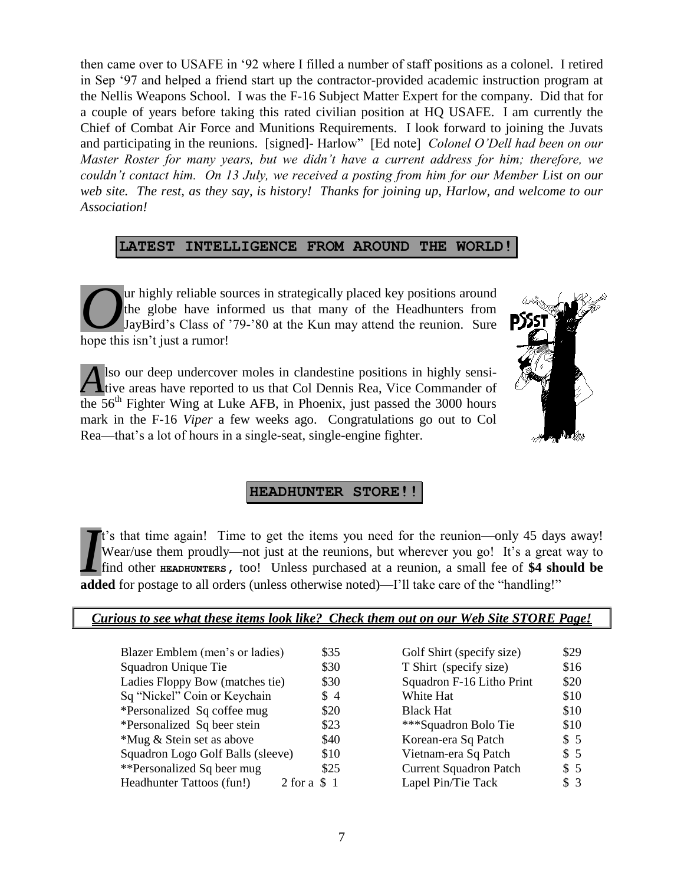then came over to USAFE in '92 where I filled a number of staff positions as a colonel. I retired in Sep '97 and helped a friend start up the contractor-provided academic instruction program at the Nellis Weapons School. I was the F-16 Subject Matter Expert for the company. Did that for a couple of years before taking this rated civilian position at HQ USAFE. I am currently the Chief of Combat Air Force and Munitions Requirements. I look forward to joining the Juvats and participating in the reunions. [signed]- Harlow" [Ed note] *Colonel O'Dell had been on our Master Roster for many years, but we didn't have a current address for him; therefore, we couldn't contact him. On 13 July, we received a posting from him for our Member List on our web site. The rest, as they say, is history! Thanks for joining up, Harlow, and welcome to our Association!*

### **LATEST INTELLIGENCE FROM AROUND THE WORLD!**

ur highly reliable sources in strategically placed key positions around the globe have informed us that many of the Headhunters from JayBird's Class of '79-'80 at the Kun may attend the reunion. Sure hope this isn't just a rumor! *O*

lso our deep undercover moles in clandestine positions in highly sensitive areas have reported to us that Col Dennis Rea, Vice Commander of  $\overline{\text{the 56}}$ <sup>th</sup> Fighter Wing at Luke AFB, in Phoenix, just passed the 3000 hours mark in the F-16 *Viper* a few weeks ago. Congratulations go out to Col Rea—that's a lot of hours in a single-seat, single-engine fighter. *A*



### **HEADHUNTER STORE!!**

t's that time again! Time to get the items you need for the reunion—only 45 days away! Wear/use them proudly—not just at the reunions, but wherever you go! It's a great way to find other **HEADHUNTERS,** too! Unless purchased at a reunion, a small fee of **\$4 should be a** added for postage to all orders (unless otherwise noted)—I'll take care of the "handling!"<br>**A** find other **EXDHUNTERS**, too! Unless purchased at a reunion, a small fee of \$4 she added for postage to all orders (unless

| Curious to see what these items look like? Check them out on our Web Site STORE Page! |  |  |
|---------------------------------------------------------------------------------------|--|--|
|                                                                                       |  |  |

| Blazer Emblem (men's or ladies)   | \$35             | Golf Shirt (specify size)     | \$29 |
|-----------------------------------|------------------|-------------------------------|------|
|                                   |                  |                               |      |
| Squadron Unique Tie               | \$30             | T Shirt (specify size)        | \$16 |
| Ladies Floppy Bow (matches tie)   | \$30             | Squadron F-16 Litho Print     | \$20 |
| Sq "Nickel" Coin or Keychain      | $\frac{1}{2}$    | White Hat                     | \$10 |
| *Personalized Sq coffee mug       | \$20             | <b>Black Hat</b>              | \$10 |
| *Personalized Sq beer stein       | \$23             | ***Squadron Bolo Tie          | \$10 |
| *Mug & Stein set as above         | \$40             | Korean-era Sq Patch           | \$5  |
| Squadron Logo Golf Balls (sleeve) | \$10             | Vietnam-era Sq Patch          | \$5  |
| **Personalized Sq beer mug        | \$25             | <b>Current Squadron Patch</b> | \$5  |
| Headhunter Tattoos (fun!)         | $2$ for a $\$$ 1 | Lapel Pin/Tie Tack            | \$3  |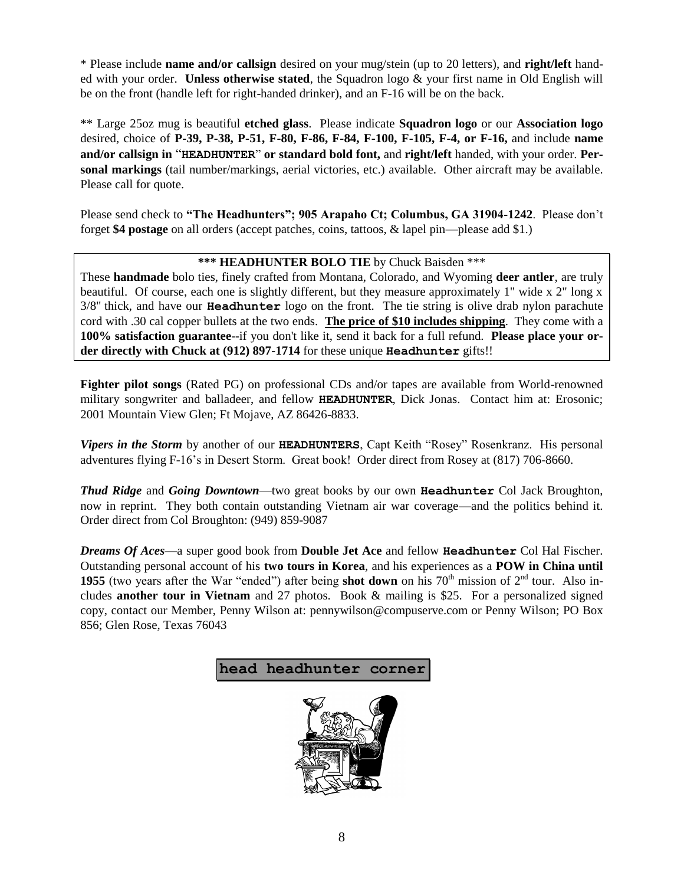\* Please include **name and/or callsign** desired on your mug/stein (up to 20 letters), and **right/left** handed with your order. **Unless otherwise stated**, the Squadron logo & your first name in Old English will be on the front (handle left for right-handed drinker), and an F-16 will be on the back.

\*\* Large 25oz mug is beautiful **etched glass**. Please indicate **Squadron logo** or our **Association logo** desired, choice of **P-39, P-38, P-51, F-80, F-86, F-84, F-100, F-105, F-4, or F-16,** and include **name and/or callsign in** "**HEADHUNTER**" **or standard bold font,** and **right/left** handed, with your order. **Personal markings** (tail number/markings, aerial victories, etc.) available. Other aircraft may be available. Please call for quote.

Please send check to **"The Headhunters"; 905 Arapaho Ct; Columbus, GA 31904-1242**. Please don't forget **\$4 postage** on all orders (accept patches, coins, tattoos, & lapel pin—please add \$1.)

### **\*\*\* HEADHUNTER BOLO TIE** by Chuck Baisden \*\*\*

These **handmade** bolo ties, finely crafted from Montana, Colorado, and Wyoming **deer antler**, are truly beautiful. Of course, each one is slightly different, but they measure approximately 1" wide x 2" long x 3/8" thick, and have our **Headhunter** logo on the front. The tie string is olive drab nylon parachute cord with .30 cal copper bullets at the two ends. **The price of \$10 includes shipping**. They come with a **100% satisfaction guarantee**--if you don't like it, send it back for a full refund. **Please place your order directly with Chuck at (912) 897-1714** for these unique **Headhunter** gifts!!

**Fighter pilot songs** (Rated PG) on professional CDs and/or tapes are available from World-renowned military songwriter and balladeer, and fellow **HEADHUNTER**, Dick Jonas. Contact him at: Erosonic; 2001 Mountain View Glen; Ft Mojave, AZ 86426-8833.

*Vipers in the Storm* by another of our **HEADHUNTERS**, Capt Keith "Rosey" Rosenkranz. His personal adventures flying F-16's in Desert Storm. Great book! Order direct from Rosey at (817) 706-8660.

*Thud Ridge* and *Going Downtown*—two great books by our own **Headhunter** Col Jack Broughton, now in reprint. They both contain outstanding Vietnam air war coverage—and the politics behind it. Order direct from Col Broughton: (949) 859-9087

*Dreams Of Aces—*a super good book from **Double Jet Ace** and fellow **Headhunter** Col Hal Fischer. Outstanding personal account of his **two tours in Korea**, and his experiences as a **POW in China until 1955** (two years after the War "ended") after being **shot down** on his 70<sup>th</sup> mission of  $2^{nd}$  tour. Also includes **another tour in Vietnam** and 27 photos. Book & mailing is \$25. For a personalized signed copy, contact our Member, Penny Wilson at: pennywilson@compuserve.com or Penny Wilson; PO Box 856; Glen Rose, Texas 76043

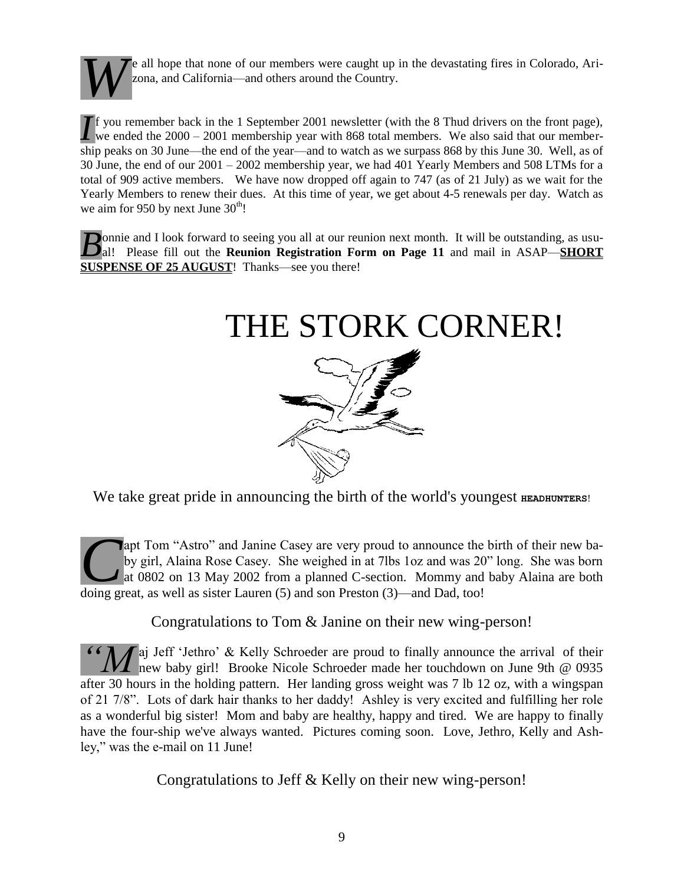

e all hope that none of our members were caught up in the devastating fires in Colorado, Arizona, and California—and others around the Country.

you remember back in the 1 September 2001 newsletter (with the 8 Thud drivers on the front page), If you remember back in the 1 September 2001 newsletter (with the 8 Thud drivers on the front page), we ended the  $2000 - 2001$  membership year with 868 total members. We also said that our membership peaks on 30 June—the end of the year—and to watch as we surpass 868 by this June 30. Well, as of 30 June, the end of our 2001 – 2002 membership year, we had 401 Yearly Members and 508 LTMs for a total of 909 active members. We have now dropped off again to 747 (as of 21 July) as we wait for the Yearly Members to renew their dues. At this time of year, we get about 4-5 renewals per day. Watch as we aim for 950 by next June  $30<sup>th</sup>$ !

**D**onnie and I look forward to seeing you all at our reunion next month. It will be outstanding, as usu**b** *B* onnie and I look forward to seeing you all at our reunion next month. It will be outstanding, as usu-<br>al! Please fill out the **Reunion Registration Form on Page 11** and mail in ASAP—**SHORT SUSPENSE OF 25 AUGUST!** Thanks—see you there!

# THE STORK CORNER!



We take great pride in announcing the birth of the world's youngest **HEADHUNTERS!** 

apt Tom "Astro" and Janine Casey are very proud to announce the birth of their new baby girl, Alaina Rose Casey. She weighed in at 7lbs 1oz and was 20" long. She was born at 0802 on 13 May 2002 from a planned C-section. Mommy and baby Alaina are both apt Tom "Astro" and Janine Casey are very proud to announce the by girl, Alaina Rose Casey. She weighed in at 7lbs 1oz and was 20 at 0802 on 13 May 2002 from a planned C-section. Mommy and doing great, as well as sister La

Congratulations to Tom & Janine on their new wing-person!

**Faj Jeff 'Jethro' & Kelly Schroeder are proud to finally announce the arrival of their** <sup>66</sup> *M* aj Jeff 'Jethro' & Kelly Schroeder are proud to finally announce the arrival of their new baby girl! Brooke Nicole Schroeder made her touchdown on June 9th @ 0935 after 30 hours in the holding pattern. Her landing gross weight was 7 lb 12 oz, with a wingspan of 21 7/8". Lots of dark hair thanks to her daddy! Ashley is very excited and fulfilling her role as a wonderful big sister! Mom and baby are healthy, happy and tired. We are happy to finally have the four-ship we've always wanted. Pictures coming soon. Love, Jethro, Kelly and Ashley," was the e-mail on 11 June!

Congratulations to Jeff & Kelly on their new wing-person!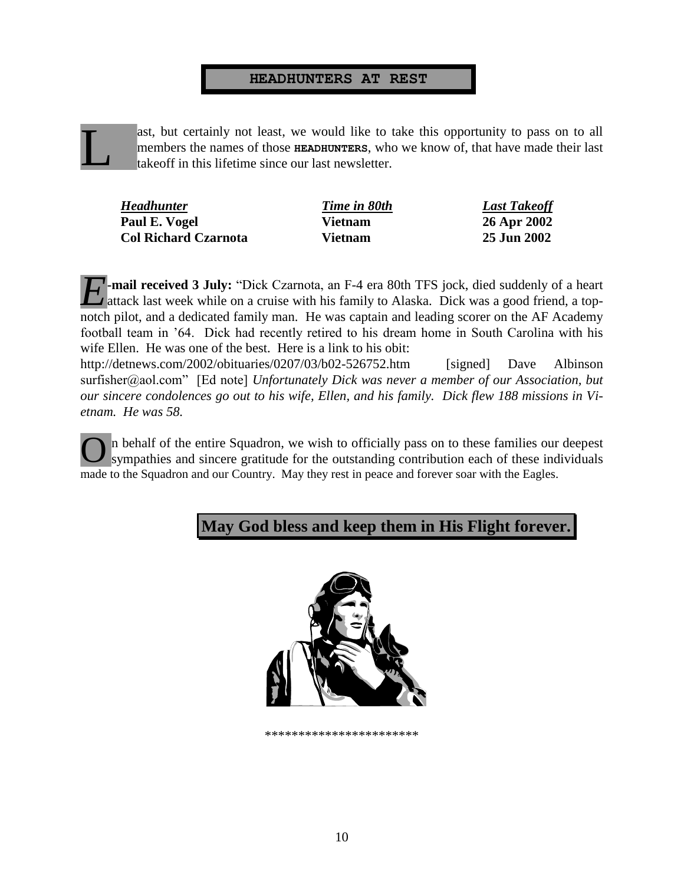#### **HEADHUNTERS AT REST**

ast, but certainly not least, we would like to take this opportunity to pass on to all members the names of those **HEADHUNTERS**, who we know of, that have made their last takeoff in this lifetime since our last newsletter. L

| <b>Headhunter</b>           | Time in 80th   | <b>Last Takeoff</b> |
|-----------------------------|----------------|---------------------|
| Paul E. Vogel               | <b>Vietnam</b> | 26 Apr 2002         |
| <b>Col Richard Czarnota</b> | <b>Vietnam</b> | 25 Jun 2002         |

**-mail received 3 July:** "Dick Czarnota, an F-4 era 80th TFS jock, died suddenly of a heart attack last week while on a cruise with his family to Alaska. Dick was a good friend, a top-A attack last week while on a cruise with his family to Alaska. Dick was a good friend, a topnotch pilot, and a dedicated family man. He was captain and leading scorer on the AF Academy football team in '64. Dick had recently retired to his dream home in South Carolina with his wife Ellen. He was one of the best. Here is a link to his obit:

<http://detnews.com/2002/obituaries/0207/03/b02-526752.htm>[signed] Dave Albinson surfisher@aol.com" [Ed note] *Unfortunately Dick was never a member of our Association, but our sincere condolences go out to his wife, Ellen, and his family. Dick flew 188 missions in Vietnam. He was 58.*

n behalf of the entire Squadron, we wish to officially pass on to these families our deepest sympathies and sincere gratitude for the outstanding contribution each of these individuals made to the Squadron and our Country. May they rest in peace and forever soar with the Eagles. O

## **May God bless and keep them in His Flight forever.**



\*\*\*\*\*\*\*\*\*\*\*\*\*\*\*\*\*\*\*\*\*\*\*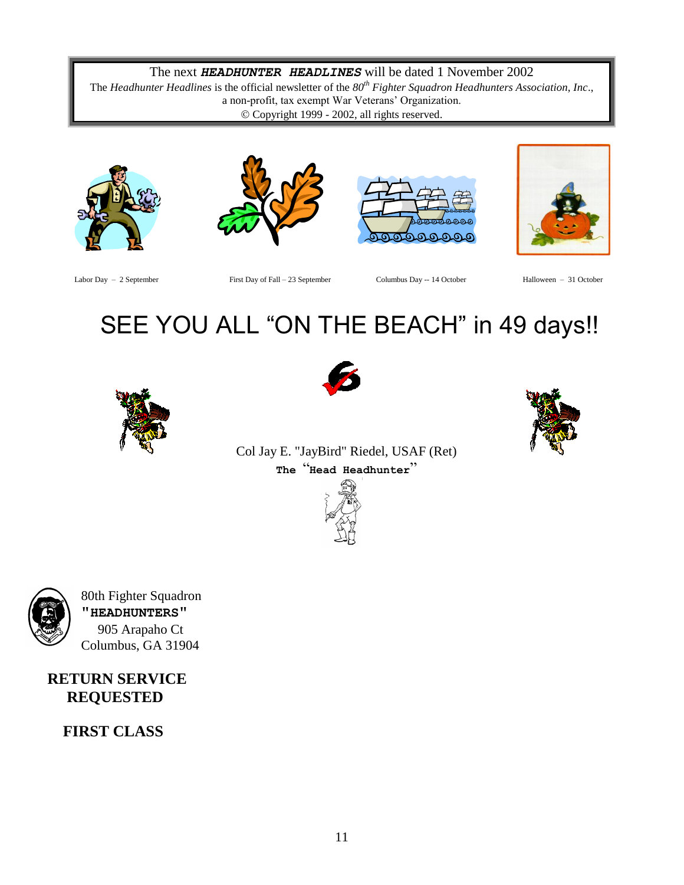### The next *HEADHUNTER HEADLINES* will be dated 1 November 2002

The *Headhunter Headlines* is the official newsletter of the *80th Fighter Squadron Headhunters Association, Inc*., a non-profit, tax exempt War Veterans' Organization. Copyright 1999 - 2002, all rights reserved.









Labor Day – 2 September First Day of Fall – 23 September Columbus Day -- 14 October Halloween – 31 October

# SEE YOU ALL "ON THE BEACH" in 49 days!!





Col Jay E. "JayBird" Riedel, USAF (Ret) **The** "**Head Headhunter**"





 80th Fighter Squadron **"HEADHUNTERS"** 905 Arapaho Ct Columbus, GA 31904

## **RETURN SERVICE REQUESTED**

 **FIRST CLASS**